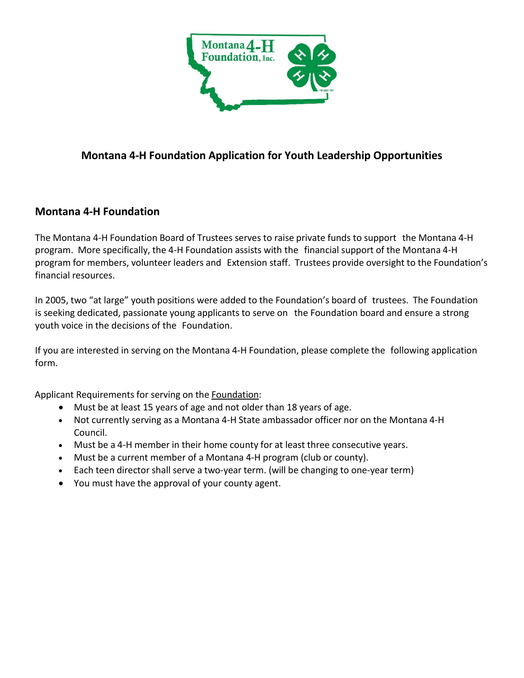

## **Montana 4-H Foundation Application for Youth Leadership Opportunities**

## **Montana 4-H Foundation**

The Montana 4-H Foundation Board of Trustees serves to raise private funds to support the Montana 4-H program. More specifically, the 4-H Foundation assists with the financial support of the Montana 4-H program for members, volunteer leaders and Extension staff. Trustees provide oversight to the Foundation's financial resources.

In 2005, two "at large" youth positions were added to the Foundation's board of trustees. The Foundation is seeking dedicated, passionate young applicants to serve on the Foundation board and ensure a strong youth voice in the decisions of the Foundation.

If you are interested in serving on the Montana 4-H Foundation, please complete the following application form.

Applicant Requirements for serving on the Foundation:

- Must be at least 15 years of age and not older than 18 years of age.
- Not currently serving as a Montana 4-H State ambassador officer nor on the Montana 4-H Council.
- Must be a 4-H member in their home county for at least three consecutive years.
- Must be a current member of a Montana 4-H program (club or county).
- Each teen director shall serve a two-year term. (will be changing to one-year term)
- You must have the approval of your county agent.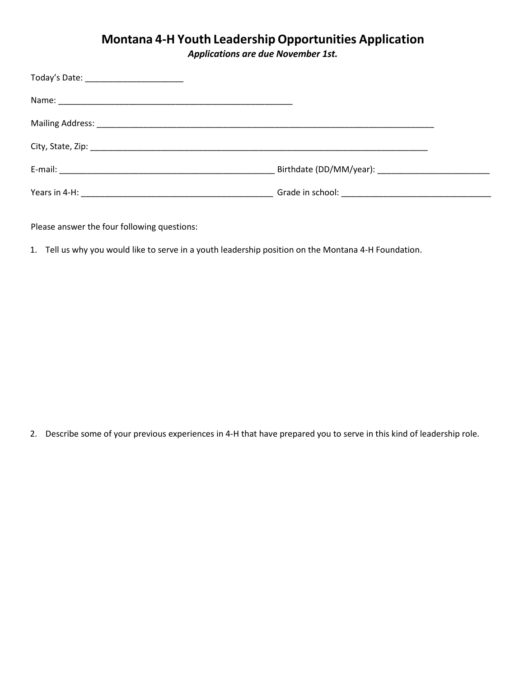## **Montana 4-H Youth Leadership Opportunities Application**

*Applications are due November 1st.* 

| Today's Date: _______________________ |  |
|---------------------------------------|--|
|                                       |  |
|                                       |  |
|                                       |  |
|                                       |  |
|                                       |  |

Please answer the four following questions:

1. Tell us why you would like to serve in a youth leadership position on the Montana 4-H Foundation.

2. Describe some of your previous experiences in 4-H that have prepared you to serve in this kind of leadership role.